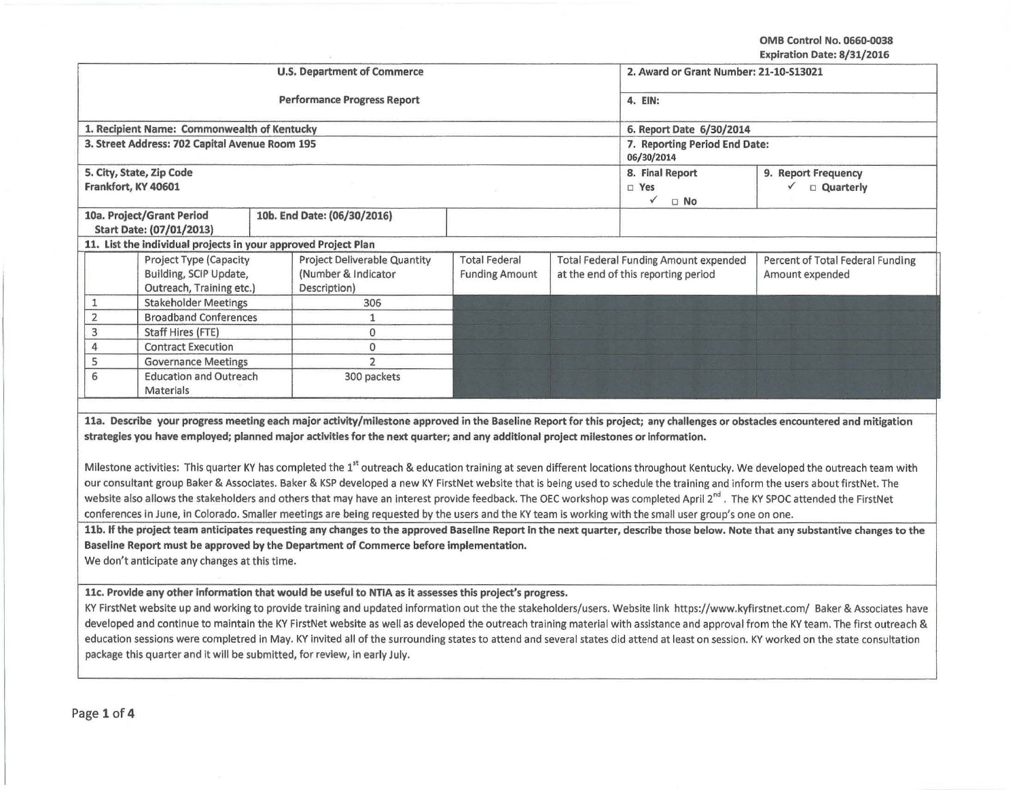OMB Control No. 0660-0038 Expiration Date: 8/31/2016

|                                                                                      |                                                                              | <b>U.S. Department of Commerce</b>                                                                                                                                                                                                                                                                                                                                                                                                                                                                                                                                                                                                                                                                                                                                                                                                                                                                                                                                                                                                                                                                                                                                                                                                                                                                                                                                                                                                        |                                                          | 2. Award or Grant Number: 21-10-S13021                                       |                                                      |                                                     |
|--------------------------------------------------------------------------------------|------------------------------------------------------------------------------|-------------------------------------------------------------------------------------------------------------------------------------------------------------------------------------------------------------------------------------------------------------------------------------------------------------------------------------------------------------------------------------------------------------------------------------------------------------------------------------------------------------------------------------------------------------------------------------------------------------------------------------------------------------------------------------------------------------------------------------------------------------------------------------------------------------------------------------------------------------------------------------------------------------------------------------------------------------------------------------------------------------------------------------------------------------------------------------------------------------------------------------------------------------------------------------------------------------------------------------------------------------------------------------------------------------------------------------------------------------------------------------------------------------------------------------------|----------------------------------------------------------|------------------------------------------------------------------------------|------------------------------------------------------|-----------------------------------------------------|
| <b>Performance Progress Report</b>                                                   |                                                                              |                                                                                                                                                                                                                                                                                                                                                                                                                                                                                                                                                                                                                                                                                                                                                                                                                                                                                                                                                                                                                                                                                                                                                                                                                                                                                                                                                                                                                                           |                                                          |                                                                              | 4. EIN:                                              |                                                     |
|                                                                                      | 1. Recipient Name: Commonwealth of Kentucky                                  |                                                                                                                                                                                                                                                                                                                                                                                                                                                                                                                                                                                                                                                                                                                                                                                                                                                                                                                                                                                                                                                                                                                                                                                                                                                                                                                                                                                                                                           |                                                          | 6. Report Date 6/30/2014                                                     |                                                      |                                                     |
|                                                                                      | 3. Street Address: 702 Capital Avenue Room 195                               |                                                                                                                                                                                                                                                                                                                                                                                                                                                                                                                                                                                                                                                                                                                                                                                                                                                                                                                                                                                                                                                                                                                                                                                                                                                                                                                                                                                                                                           | 06/30/2014                                               | 7. Reporting Period End Date:                                                |                                                      |                                                     |
|                                                                                      | 5. City, State, Zip Code<br>Frankfort, KY 40601                              |                                                                                                                                                                                                                                                                                                                                                                                                                                                                                                                                                                                                                                                                                                                                                                                                                                                                                                                                                                                                                                                                                                                                                                                                                                                                                                                                                                                                                                           | 8. Final Report<br>$\square$ Yes<br>$\checkmark$<br>□ No |                                                                              | 9. Report Frequency<br>$\checkmark$ $\Box$ Quarterly |                                                     |
| 10a. Project/Grant Period<br>10b. End Date: (06/30/2016)<br>Start Date: (07/01/2013) |                                                                              |                                                                                                                                                                                                                                                                                                                                                                                                                                                                                                                                                                                                                                                                                                                                                                                                                                                                                                                                                                                                                                                                                                                                                                                                                                                                                                                                                                                                                                           |                                                          |                                                                              |                                                      |                                                     |
|                                                                                      | 11. List the individual projects in your approved Project Plan               |                                                                                                                                                                                                                                                                                                                                                                                                                                                                                                                                                                                                                                                                                                                                                                                                                                                                                                                                                                                                                                                                                                                                                                                                                                                                                                                                                                                                                                           |                                                          |                                                                              |                                                      |                                                     |
|                                                                                      | Project Type (Capacity<br>Building, SCIP Update,<br>Outreach, Training etc.) | Project Deliverable Quantity<br>(Number & Indicator<br>Description)                                                                                                                                                                                                                                                                                                                                                                                                                                                                                                                                                                                                                                                                                                                                                                                                                                                                                                                                                                                                                                                                                                                                                                                                                                                                                                                                                                       | <b>Total Federal</b><br><b>Funding Amount</b>            | Total Federal Funding Amount expended<br>at the end of this reporting period |                                                      | Percent of Total Federal Funding<br>Amount expended |
| 1                                                                                    | <b>Stakeholder Meetings</b>                                                  | 306                                                                                                                                                                                                                                                                                                                                                                                                                                                                                                                                                                                                                                                                                                                                                                                                                                                                                                                                                                                                                                                                                                                                                                                                                                                                                                                                                                                                                                       |                                                          |                                                                              |                                                      |                                                     |
| $\overline{2}$                                                                       | <b>Broadband Conferences</b>                                                 | $\mathbf{1}$                                                                                                                                                                                                                                                                                                                                                                                                                                                                                                                                                                                                                                                                                                                                                                                                                                                                                                                                                                                                                                                                                                                                                                                                                                                                                                                                                                                                                              |                                                          |                                                                              |                                                      |                                                     |
| 3                                                                                    | Staff Hires (FTE)                                                            | 0                                                                                                                                                                                                                                                                                                                                                                                                                                                                                                                                                                                                                                                                                                                                                                                                                                                                                                                                                                                                                                                                                                                                                                                                                                                                                                                                                                                                                                         |                                                          |                                                                              |                                                      |                                                     |
| 4                                                                                    | <b>Contract Execution</b>                                                    | 0                                                                                                                                                                                                                                                                                                                                                                                                                                                                                                                                                                                                                                                                                                                                                                                                                                                                                                                                                                                                                                                                                                                                                                                                                                                                                                                                                                                                                                         |                                                          |                                                                              |                                                      |                                                     |
| 5                                                                                    | <b>Governance Meetings</b>                                                   | $\overline{2}$                                                                                                                                                                                                                                                                                                                                                                                                                                                                                                                                                                                                                                                                                                                                                                                                                                                                                                                                                                                                                                                                                                                                                                                                                                                                                                                                                                                                                            |                                                          |                                                                              |                                                      |                                                     |
|                                                                                      | 6<br><b>Education and Outreach</b><br>300 packets                            |                                                                                                                                                                                                                                                                                                                                                                                                                                                                                                                                                                                                                                                                                                                                                                                                                                                                                                                                                                                                                                                                                                                                                                                                                                                                                                                                                                                                                                           |                                                          |                                                                              |                                                      |                                                     |
|                                                                                      | Materials                                                                    |                                                                                                                                                                                                                                                                                                                                                                                                                                                                                                                                                                                                                                                                                                                                                                                                                                                                                                                                                                                                                                                                                                                                                                                                                                                                                                                                                                                                                                           |                                                          |                                                                              |                                                      |                                                     |
|                                                                                      | We don't anticipate any changes at this time.                                | 11a. Describe your progress meeting each major activity/milestone approved in the Baseline Report for this project; any challenges or obstacles encountered and mitigation<br>strategies you have employed; planned major activities for the next quarter; and any additional project milestones or information.<br>Milestone activities: This quarter KY has completed the 1 <sup>st</sup> outreach & education training at seven different locations throughout Kentucky. We developed the outreach team with<br>our consultant group Baker & Associates. Baker & KSP developed a new KY FirstNet website that is being used to schedule the training and inform the users about firstNet. The<br>website also allows the stakeholders and others that may have an interest provide feedback. The OEC workshop was completed April 2 <sup>nd</sup> . The KY SPOC attended the FirstNet<br>conferences in June, in Colorado. Smaller meetings are being requested by the users and the KY team is working with the small user group's one on one.<br>11b. If the project team anticipates requesting any changes to the approved Baseline Report in the next quarter, describe those below. Note that any substantive changes to the<br>Baseline Report must be approved by the Department of Commerce before implementation.<br>11c. Provide any other information that would be useful to NTIA as it assesses this project's progress. |                                                          |                                                                              |                                                      |                                                     |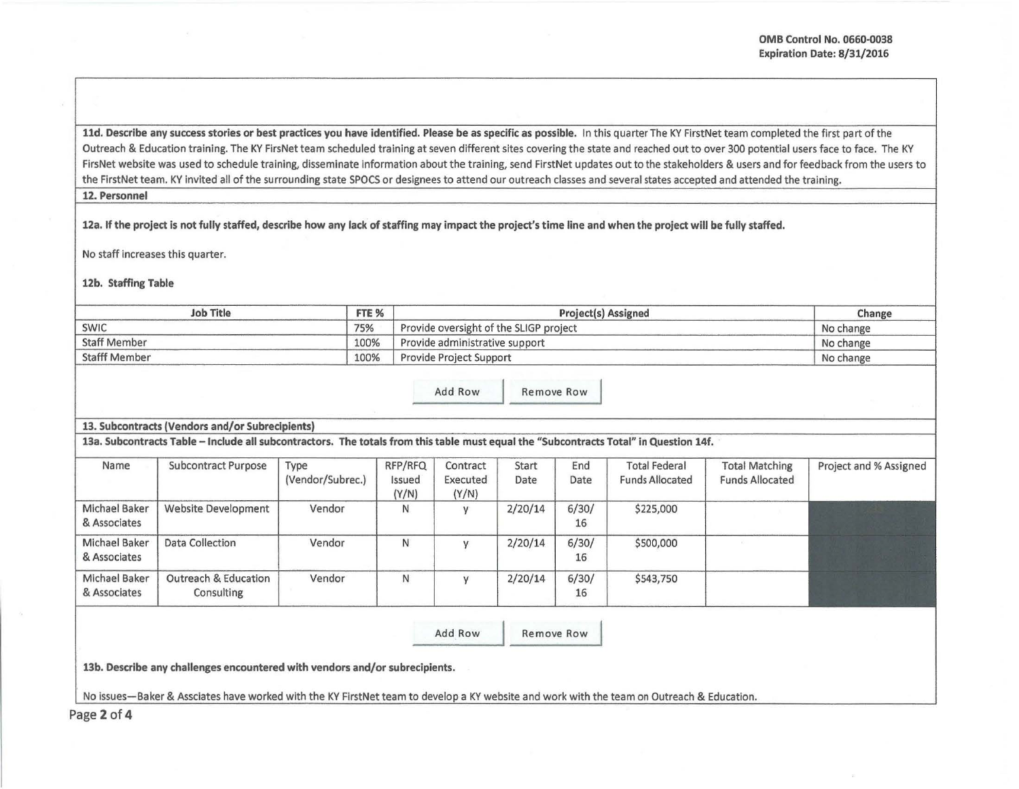11d. Describe any success stories or best practices you have identified. Please be as specific as possible. In this quarter The KY FirstNet team completed the first part of the Outreach & Education training. The KY FirsNet team scheduled training at seven different sites covering the state and reached out to over 300 potential users face to face. The KY FirsNet website was used to schedule training, disseminate information about the training, send FirstNet updates out to the stakeholders & users and for feedback from the users to the FirstNet team. KY invited all of the surrounding state SPOCS or designees to attend our outreach classes and several states accepted and attended the training.

## 12. Personnel

12a. If the project is not fully staffed, describe how any lack of staffing may impact the project's time line and when the project will be fully staffed.

No staff increases this quarter.

12b. Staffing Table

| <b>Job Title</b>     | FTE % | <b>Project(s) Assigned</b>             | Change    |
|----------------------|-------|----------------------------------------|-----------|
| SWIC                 | 75%   | Provide oversight of the SLIGP project | No change |
| <b>Staff Member</b>  | 100%  | Provide administrative support         | No change |
| <b>Stafff Member</b> | 100%  | <b>Provide Project Support</b>         | No change |

| Add Row | Remove Row |
|---------|------------|

## 13. Subcontracts (Vendors and/or Subrecipients)

13a. Subcontracts Table - Include all subcontractors. The totals from this table must equal the "Subcontracts Total" in Question 14f.

| Name                                 | <b>Subcontract Purpose</b>         | Type<br>(Vendor/Subrec.) | RFP/RFQ<br>Issued<br>(Y/N) | Contract<br>Executed<br>(Y/N) | Start<br>Date | End<br>Date | <b>Total Federal</b><br><b>Funds Allocated</b> | <b>Total Matching</b><br><b>Funds Allocated</b> | Project and % Assigned |
|--------------------------------------|------------------------------------|--------------------------|----------------------------|-------------------------------|---------------|-------------|------------------------------------------------|-------------------------------------------------|------------------------|
| <b>Michael Baker</b><br>& Associates | <b>Website Development</b>         | Vendor                   | N                          |                               | 2/20/14       | 6/30/<br>16 | \$225,000                                      |                                                 |                        |
| Michael Baker<br>& Associates        | Data Collection                    | Vendor                   | N                          |                               | 2/20/14       | 6/30/<br>16 | \$500,000                                      |                                                 |                        |
| Michael Baker<br>& Associates        | Outreach & Education<br>Consulting | Vendor                   | N                          |                               | 2/20/14       | 6/30/<br>16 | \$543,750                                      |                                                 |                        |

Add Row Remove Row

13b. Describe any challenges encountered with vendors and/or subrecipients.

No issues-Baker & Assciates have worked with the KY FirstNet team to develop a KY website and work with the team on Outreach & Education.

Page 2 of 4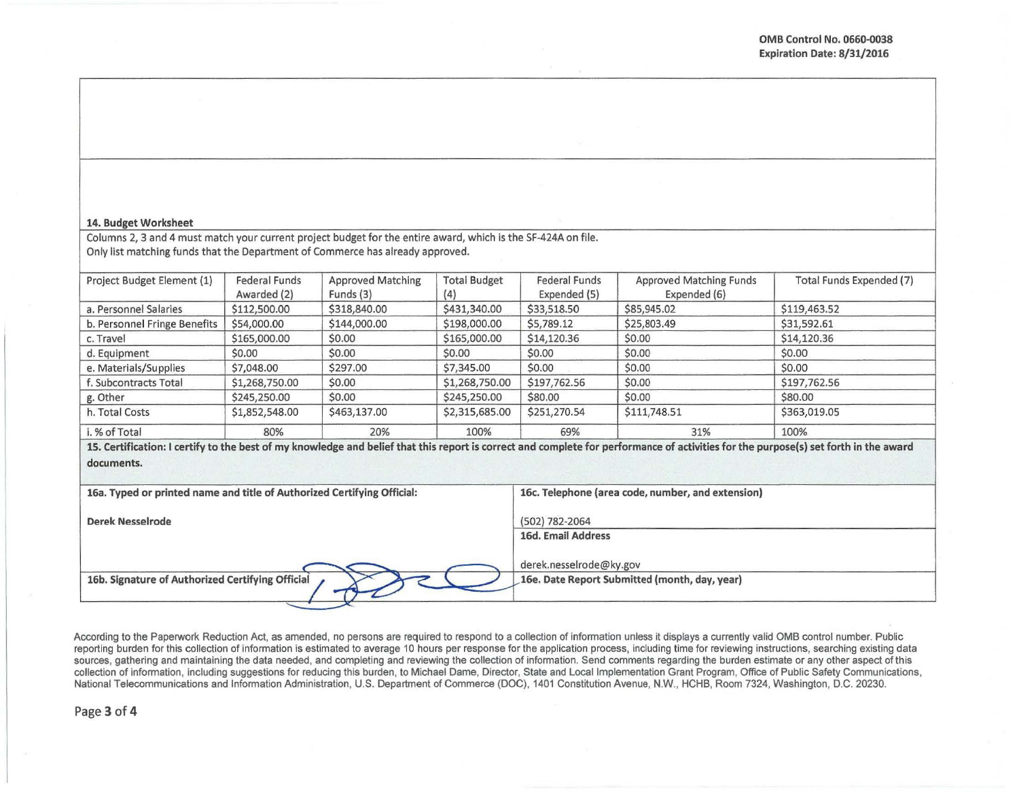## 14. Budget Worksheet

Columns 2, 3 and 4 must match your current project budget for the entire award, which is the SF-424A on file. Only list matching funds that the Department of Commerce has already approved.

| Project Budget Element (1)   | <b>Federal Funds</b><br>Awarded (2) | <b>Approved Matching</b><br>Funds (3) | <b>Total Budget</b><br>(4) | <b>Federal Funds</b><br>Expended (5) | <b>Approved Matching Funds</b><br>Expended (6) | Total Funds Expended (7) |
|------------------------------|-------------------------------------|---------------------------------------|----------------------------|--------------------------------------|------------------------------------------------|--------------------------|
| a. Personnel Salaries        | \$112,500.00                        | \$318,840.00                          | \$431,340.00               | \$33,518.50                          | \$85,945.02                                    | \$119,463.52             |
| b. Personnel Fringe Benefits | \$54,000.00                         | \$144,000.00                          | \$198,000.00               | \$5,789.12                           | \$25,803.49                                    | \$31,592.61              |
| c. Travel                    | \$165,000.00                        | \$0.00                                | \$165,000.00               | \$14,120.36                          | \$0.00                                         | \$14,120.36              |
| d. Equipment                 | \$0.00                              | \$0.00                                | \$0.00                     | \$0.00                               | \$0.00                                         | \$0.00                   |
| e. Materials/Supplies        | \$7,048.00                          | \$297.00                              | \$7,345.00                 | \$0.00                               | \$0.00                                         | \$0.00                   |
| f. Subcontracts Total        | \$1,268,750.00                      | \$0.00                                | \$1,268,750.00             | \$197,762.56                         | \$0.00                                         | \$197,762.56             |
| g. Other                     | \$245,250.00                        | \$0.00                                | \$245,250.00               | \$80.00                              | \$0.00                                         | \$80.00                  |
| h. Total Costs               | \$1,852,548.00                      | \$463,137.00                          | \$2,315,685.00             | \$251,270.54                         | \$111,748.51                                   | \$363,019.05             |
| i. % of Total                | 80%                                 | 20%                                   | 100%                       | 69%                                  | 31%                                            | 100%                     |

15. Certification: I certify to the best of my knowledge and belief that this report is correct and complete for performance of activities for the purpose(s) set forth in the award documents.

| 16a. Typed or printed name and title of Authorized Certifying Official: | 16c. Telephone (area code, number, and extension)                        |
|-------------------------------------------------------------------------|--------------------------------------------------------------------------|
| Derek Nesselrode                                                        | (502) 782-2064<br>16d. Email Address                                     |
| 16b. Signature of Authorized Certifying Official                        | derek.nesselrode@ky.gov<br>16e. Date Report Submitted (month, day, year) |

According to the Paperwork Reduction Act, as amended, no persons are required to respond to a collection of information unless it displays a currently valid OMB control number. Public reporting burden for this collection of information is estimated to average 10 hours per response for the application process, including time for reviewing instructions, searching existing data sources, gathering and maintaining the data needed, and completing and reviewing the collection of information. Send comments regarding the burden estimate or any other aspect of this collection of information, including suggestions for reducing this burden, to Michael Dame, Director, State and Local implementation Grant Program, Office of Public Safety Communications, National Telecommunications and Information Administration, U.S. Department of Commerce (DOC), 1401 Constitution Avenue, N.W., HCHB, Room 7324, Washington, D.C. 20230.

Page 3 of 4